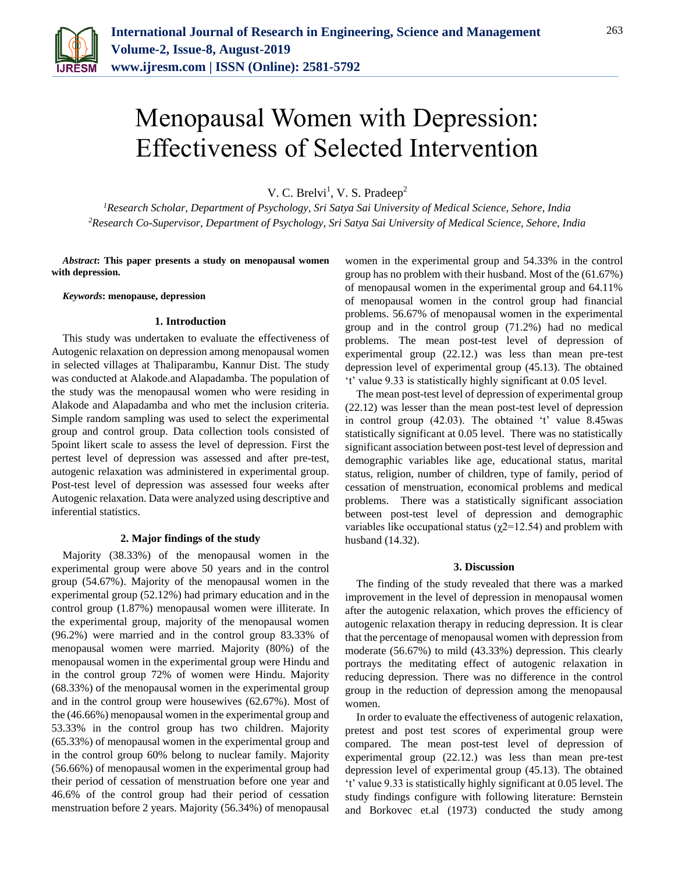

# Menopausal Women with Depression: Effectiveness of Selected Intervention

V. C. Brelvi<sup>1</sup>, V. S. Pradeep<sup>2</sup>

*<sup>1</sup>Research Scholar, Department of Psychology, Sri Satya Sai University of Medical Science, Sehore, India 2Research Co-Supervisor, Department of Psychology, Sri Satya Sai University of Medical Science, Sehore, India*

*Abstract***: This paper presents a study on menopausal women with depression.**

*Keywords***: menopause, depression**

# **1. Introduction**

This study was undertaken to evaluate the effectiveness of Autogenic relaxation on depression among menopausal women in selected villages at Thaliparambu, Kannur Dist. The study was conducted at Alakode.and Alapadamba. The population of the study was the menopausal women who were residing in Alakode and Alapadamba and who met the inclusion criteria. Simple random sampling was used to select the experimental group and control group. Data collection tools consisted of 5point likert scale to assess the level of depression. First the pertest level of depression was assessed and after pre-test, autogenic relaxation was administered in experimental group. Post-test level of depression was assessed four weeks after Autogenic relaxation. Data were analyzed using descriptive and inferential statistics.

## **2. Major findings of the study**

Majority (38.33%) of the menopausal women in the experimental group were above 50 years and in the control group (54.67%). Majority of the menopausal women in the experimental group (52.12%) had primary education and in the control group (1.87%) menopausal women were illiterate. In the experimental group, majority of the menopausal women (96.2%) were married and in the control group 83.33% of menopausal women were married. Majority (80%) of the menopausal women in the experimental group were Hindu and in the control group 72% of women were Hindu. Majority (68.33%) of the menopausal women in the experimental group and in the control group were housewives (62.67%). Most of the (46.66%) menopausal women in the experimental group and 53.33% in the control group has two children. Majority (65.33%) of menopausal women in the experimental group and in the control group 60% belong to nuclear family. Majority (56.66%) of menopausal women in the experimental group had their period of cessation of menstruation before one year and 46.6% of the control group had their period of cessation menstruation before 2 years. Majority (56.34%) of menopausal women in the experimental group and 54.33% in the control group has no problem with their husband. Most of the (61.67%) of menopausal women in the experimental group and 64.11% of menopausal women in the control group had financial problems. 56.67% of menopausal women in the experimental group and in the control group (71.2%) had no medical problems. The mean post-test level of depression of experimental group (22.12.) was less than mean pre-test depression level of experimental group (45.13). The obtained 't' value 9.33 is statistically highly significant at 0.05 level.

The mean post-test level of depression of experimental group (22.12) was lesser than the mean post-test level of depression in control group (42.03). The obtained 't' value 8.45was statistically significant at 0.05 level. There was no statistically significant association between post-test level of depression and demographic variables like age, educational status, marital status, religion, number of children, type of family, period of cessation of menstruation, economical problems and medical problems. There was a statistically significant association between post-test level of depression and demographic variables like occupational status ( $χ2=12.54$ ) and problem with husband (14.32).

#### **3. Discussion**

The finding of the study revealed that there was a marked improvement in the level of depression in menopausal women after the autogenic relaxation, which proves the efficiency of autogenic relaxation therapy in reducing depression. It is clear that the percentage of menopausal women with depression from moderate (56.67%) to mild (43.33%) depression. This clearly portrays the meditating effect of autogenic relaxation in reducing depression. There was no difference in the control group in the reduction of depression among the menopausal women.

In order to evaluate the effectiveness of autogenic relaxation, pretest and post test scores of experimental group were compared. The mean post-test level of depression of experimental group (22.12.) was less than mean pre-test depression level of experimental group (45.13). The obtained 't' value 9.33 is statistically highly significant at 0.05 level. The study findings configure with following literature: Bernstein and Borkovec et.al (1973) conducted the study among